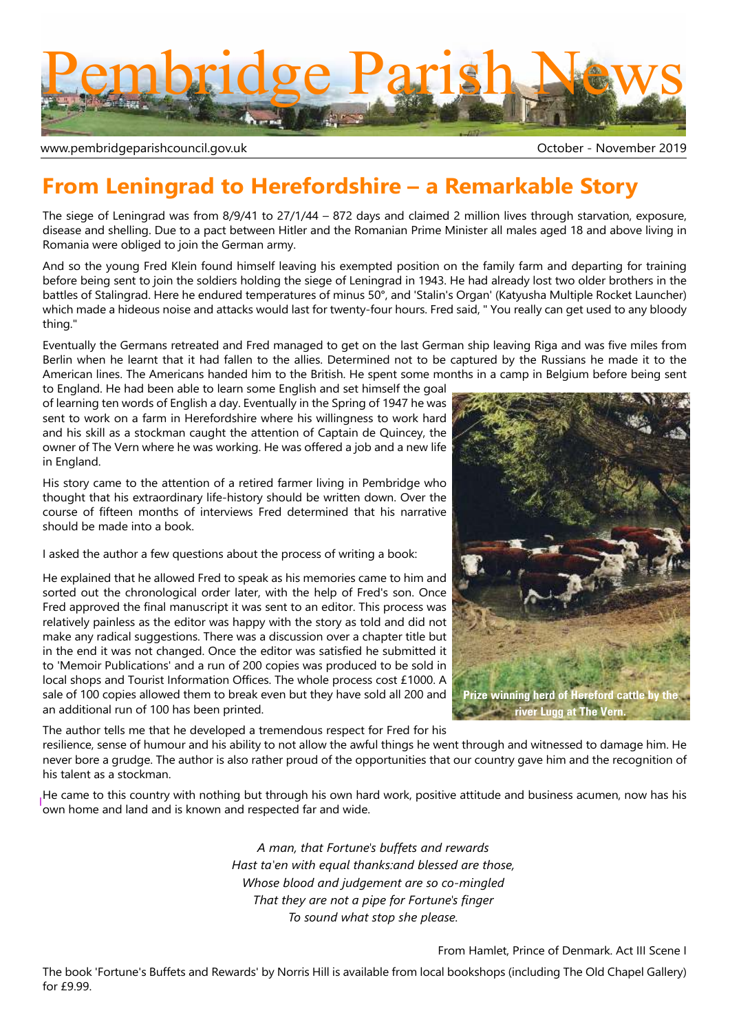

www.pembridgeparishcouncil.gov.uk and the state of the control of the Coroler - November 2019

# **From Leningrad to Herefordshire – a Remarkable Story**

The siege of Leningrad was from 8/9/41 to 27/1/44 – 872 days and claimed 2 million lives through starvation, exposure, disease and shelling. Due to a pact between Hitler and the Romanian Prime Minister all males aged 18 and above living in Romania were obliged to join the German army.

And so the young Fred Klein found himself leaving his exempted position on the family farm and departing for training before being sent to join the soldiers holding the siege of Leningrad in 1943. He had already lost two older brothers in the battles of Stalingrad. Here he endured temperatures of minus 50°, and 'Stalin's Organ' (Katyusha Multiple Rocket Launcher) which made a hideous noise and attacks would last for twenty-four hours. Fred said, " You really can get used to any bloody thing."

Eventually the Germans retreated and Fred managed to get on the last German ship leaving Riga and was five miles from Berlin when he learnt that it had fallen to the allies. Determined not to be captured by the Russians he made it to the American lines. The Americans handed him to the British. He spent some months in a camp in Belgium before being sent

to England. He had been able to learn some English and set himself the goal of learning ten words of English a day. Eventually in the Spring of 1947 he was sent to work on a farm in Herefordshire where his willingness to work hard and his skill as a stockman caught the attention of Captain de Quincey, the owner of The Vern where he was working. He was offered a job and a new life in England.

His story came to the attention of a retired farmer living in Pembridge who thought that his extraordinary life-history should be written down. Over the course of fifteen months of interviews Fred determined that his narrative should be made into a book.

I asked the author a few questions about the process of writing a book:

He explained that he allowed Fred to speak as his memories came to him and sorted out the chronological order later, with the help of Fred's son. Once Fred approved the final manuscript it was sent to an editor. This process was relatively painless as the editor was happy with the story as told and did not make any radical suggestions. There was a discussion over a chapter title but in the end it was not changed. Once the editor was satisfied he submitted it to 'Memoir Publications' and a run of 200 copies was produced to be sold in local shops and Tourist Information Offices. The whole process cost £1000. A sale of 100 copies allowed them to break even but they have sold all 200 and an additional run of 100 has been printed.



The author tells me that he developed a tremendous respect for Fred for his

resilience, sense of humour and his ability to not allow the awful things he went through and witnessed to damage him. He never bore a grudge. The author is also rather proud of the opportunities that our country gave him and the recognition of his talent as a stockman.

He came to this country with nothing but through his own hard work, positive attitude and business acumen, now has his own home and land and is known and respected far and wide.

> *A man, that Fortune's buffets and rewards Hast ta'en with equal thanks:and blessed are those, Whose blood and judgement are so co-mingled That they are not a pipe for Fortune's finger To sound what stop she please.*

> > From Hamlet, Prince of Denmark. Act III Scene I

The book 'Fortune's Buffets and Rewards' by Norris Hill is available from local bookshops (including The Old Chapel Gallery) for £9.99.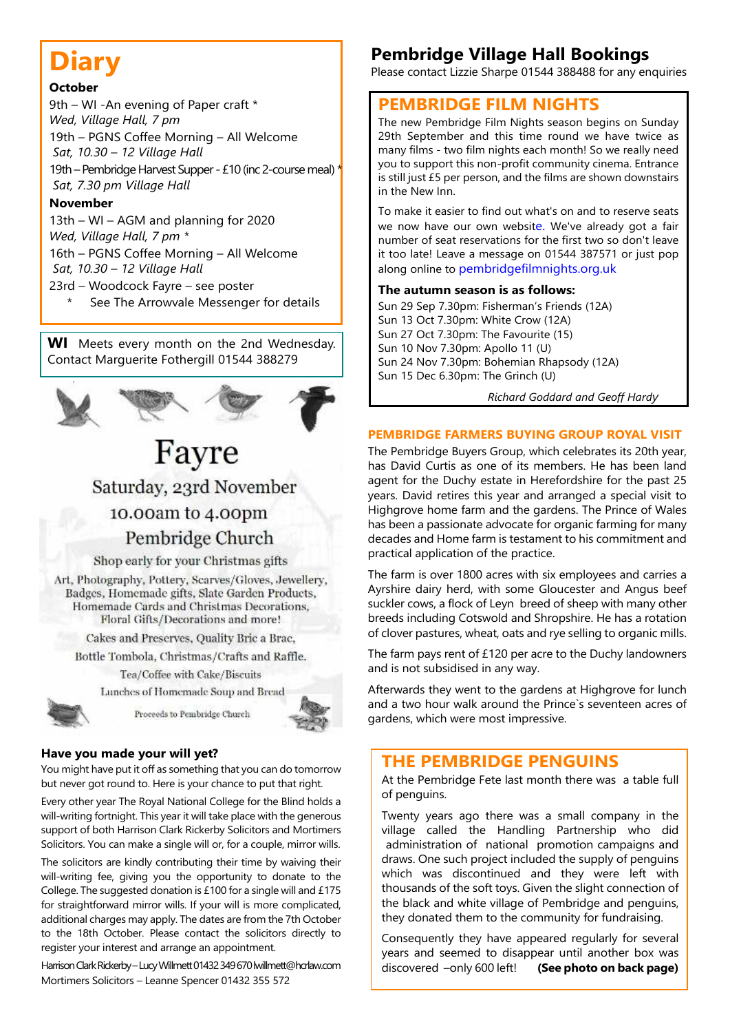# **Diary**

#### **October**

9th – WI -An evening of Paper craft \* *Wed, Village Hall, 7 pm* 19th – PGNS Coffee Morning – All Welcome  *Sat, 10.30 – 12 Village Hall* 19th – Pembridge Harvest Supper - £10 (inc 2-course meal) \*  *Sat, 7.30 pm Village Hall*

#### **November**

13th – WI – AGM and planning for 2020 *Wed, Village Hall, 7 pm \** 16th – PGNS Coffee Morning – All Welcome  *Sat, 10.30 – 12 Village Hall*

23rd – Woodcock Fayre – see poster

See The Arrowvale Messenger for details

**WI** Meets every month on the 2nd Wednesday. Contact Marguerite Fothergill 01544 388279



# Fayre Saturday, 23rd November

## 10.00am to 4.00pm

Pembridge Church

Shop early for your Christmas gifts

Art, Photography, Pottery, Scarves/Gloves, Jewellery, Badges, Homemade gifts, Slate Garden Products, Homemade Cards and Christmas Decorations. Floral Gifts/Decorations and more!

Cakes and Preserves, Quality Bric a Brac,

Bottle Tombola, Christmas/Crafts and Raffle.

Tea/Coffee with Cake/Biscuits Lunches of Homemade Soup and Bread

Proceeds to Pembridge Church



#### **Have you made your will yet?**

You might have put it off as something that you can do tomorrow but never got round to. Here is your chance to put that right.

Every other year The Royal National College for the Blind holds a will-writing fortnight. This year it will take place with the generous support of both Harrison Clark Rickerby Solicitors and Mortimers Solicitors. You can make a single will or, for a couple, mirror wills.

The solicitors are kindly contributing their time by waiving their will-writing fee, giving you the opportunity to donate to the College. The suggested donation is £100 for a single will and £175 for straightforward mirror wills. If your will is more complicated, additional charges may apply. The dates are from the 7th October to the 18th October. Please contact the solicitors directly to register your interest and arrange an appointment.

Harrison Clark Rickerby – Lucy Willmett 01432 349 670 lwillmett@hcrlaw.com Mortimers Solicitors – Leanne Spencer 01432 355 572

## **Pembridge Village Hall Bookings**

Please contact Lizzie Sharpe 01544 388488 for any enquiries

### **PEMBRIDGE FILM NIGHTS**

The new Pembridge Film Nights season begins on Sunday 29th September and this time round we have twice as many films - two film nights each month! So we really need you to support this non-profit community cinema. Entrance is still just £5 per person, and the films are shown downstairs in the New Inn.

To make it easier to find out what's on and to reserve seats we now have our own website. We've already got a fair number of seat reservations for the first two so don't leave it too late! Leave a message on 01544 387571 or just pop along online to pembridgefilmnights.org.uk

#### **The autumn season is as follows:**

Sun 29 Sep 7.30pm: Fisherman's Friends (12A) Sun 13 Oct 7.30pm: White Crow (12A) Sun 27 Oct 7.30pm: The Favourite (15) Sun 10 Nov 7.30pm: Apollo 11 (U) Sun 24 Nov 7.30pm: Bohemian Rhapsody (12A) Sun 15 Dec 6.30pm: The Grinch (U)

*Richard Goddard and Geoff Hardy*

#### **PEMBRIDGE FARMERS BUYING GROUP ROYAL VISIT**

The Pembridge Buyers Group, which celebrates its 20th year, has David Curtis as one of its members. He has been land agent for the Duchy estate in Herefordshire for the past 25 years. David retires this year and arranged a special visit to Highgrove home farm and the gardens. The Prince of Wales has been a passionate advocate for organic farming for many decades and Home farm is testament to his commitment and practical application of the practice.

The farm is over 1800 acres with six employees and carries a Ayrshire dairy herd, with some Gloucester and Angus beef suckler cows, a flock of Leyn breed of sheep with many other breeds including Cotswold and Shropshire. He has a rotation of clover pastures, wheat, oats and rye selling to organic mills.

The farm pays rent of £120 per acre to the Duchy landowners and is not subsidised in any way.

Afterwards they went to the gardens at Highgrove for lunch and a two hour walk around the Prince`s seventeen acres of gardens, which were most impressive.

## **THE PEMBRIDGE PENGUINS**

At the Pembridge Fete last month there was a table full of penguins.

Twenty years ago there was a small company in the village called the Handling Partnership who did administration of national promotion campaigns and draws. One such project included the supply of penguins which was discontinued and they were left with thousands of the soft toys. Given the slight connection of the black and white village of Pembridge and penguins, they donated them to the community for fundraising.

Consequently they have appeared regularly for several years and seemed to disappear until another box was discovered –only 600 left! **(See photo on back page)**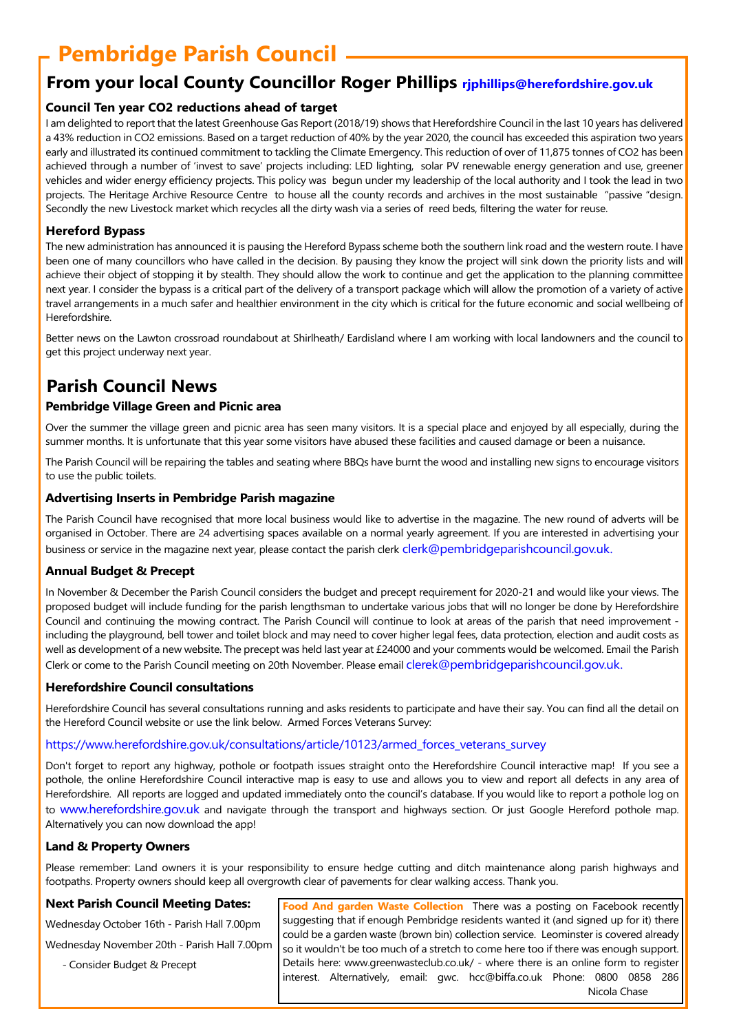# **Pembridge Parish Council**

### **From your local County Councillor Roger Phillips rjphillips@herefordshire.gov.uk**

### **Council Ten year CO2 reductions ahead of target**

I am delighted to report that the latest Greenhouse Gas Report (2018/19) shows that Herefordshire Council in the last 10 years has delivered a 43% reduction in CO2 emissions. Based on a target reduction of 40% by the year 2020, the council has exceeded this aspiration two years early and illustrated its continued commitment to tackling the Climate Emergency. This reduction of over of 11,875 tonnes of CO2 has been achieved through a number of 'invest to save' projects including: LED lighting, solar PV renewable energy generation and use, greener vehicles and wider energy efficiency projects. This policy was begun under my leadership of the local authority and I took the lead in two projects. The Heritage Archive Resource Centre to house all the county records and archives in the most sustainable "passive "design. Secondly the new Livestock market which recycles all the dirty wash via a series of reed beds, filtering the water for reuse.

#### **Hereford Bypass**

The new administration has announced it is pausing the Hereford Bypass scheme both the southern link road and the western route. I have been one of many councillors who have called in the decision. By pausing they know the project will sink down the priority lists and will achieve their object of stopping it by stealth. They should allow the work to continue and get the application to the planning committee next year. I consider the bypass is a critical part of the delivery of a transport package which will allow the promotion of a variety of active travel arrangements in a much safer and healthier environment in the city which is critical for the future economic and social wellbeing of Herefordshire.

Better news on the Lawton crossroad roundabout at Shirlheath/ Eardisland where I am working with local landowners and the council to get this project underway next year.

## **Parish Council News**

#### **Pembridge Village Green and Picnic area**

Over the summer the village green and picnic area has seen many visitors. It is a special place and enjoyed by all especially, during the summer months. It is unfortunate that this year some visitors have abused these facilities and caused damage or been a nuisance.

The Parish Council will be repairing the tables and seating where BBQs have burnt the wood and installing new signs to encourage visitors to use the public toilets.

#### **Advertising Inserts in Pembridge Parish magazine**

The Parish Council have recognised that more local business would like to advertise in the magazine. The new round of adverts will be organised in October. There are 24 advertising spaces available on a normal yearly agreement. If you are interested in advertising your business or service in the magazine next year, please contact the parish clerk clerk@pembridgeparishcouncil.gov.uk.

### **Annual Budget & Precept**

In November & December the Parish Council considers the budget and precept requirement for 2020-21 and would like your views. The proposed budget will include funding for the parish lengthsman to undertake various jobs that will no longer be done by Herefordshire Council and continuing the mowing contract. The Parish Council will continue to look at areas of the parish that need improvement including the playground, bell tower and toilet block and may need to cover higher legal fees, data protection, election and audit costs as well as development of a new website. The precept was held last year at £24000 and your comments would be welcomed. Email the Parish Clerk or come to the Parish Council meeting on 20th November. Please email clerek@pembridgeparishcouncil.gov.uk.

#### **Herefordshire Council consultations**

Herefordshire Council has several consultations running and asks residents to participate and have their say. You can find all the detail on the Hereford Council website or use the link below. Armed Forces Veterans Survey:

#### https://www.herefordshire.gov.uk/consultations/article/10123/armed\_forces\_veterans\_survey

Don't forget to report any highway, pothole or footpath issues straight onto the Herefordshire Council interactive map! If you see a pothole, the online Herefordshire Council interactive map is easy to use and allows you to view and report all defects in any area of Herefordshire. All reports are logged and updated immediately onto the council's database. If you would like to report a pothole log on to www.herefordshire.gov.uk and navigate through the transport and highways section. Or just Google Hereford pothole map. Alternatively you can now download the app!

#### **Land & Property Owners**

Please remember: Land owners it is your responsibility to ensure hedge cutting and ditch maintenance along parish highways and footpaths. Property owners should keep all overgrowth clear of pavements for clear walking access. Thank you.

#### **Next Parish Council Meeting Dates:**

Wednesday October 16th - Parish Hall 7.00pm

Wednesday November 20th - Parish Hall 7.00pm

- Consider Budget & Precept

**Food And garden Waste Collection** There was a posting on Facebook recently suggesting that if enough Pembridge residents wanted it (and signed up for it) there could be a garden waste (brown bin) collection service. Leominster is covered already so it wouldn't be too much of a stretch to come here too if there was enough support. Details here: www.greenwasteclub.co.uk/ - where there is an online form to register interest. Alternatively, email: gwc. hcc@biffa.co.uk Phone: 0800 0858 286 Nicola Chase